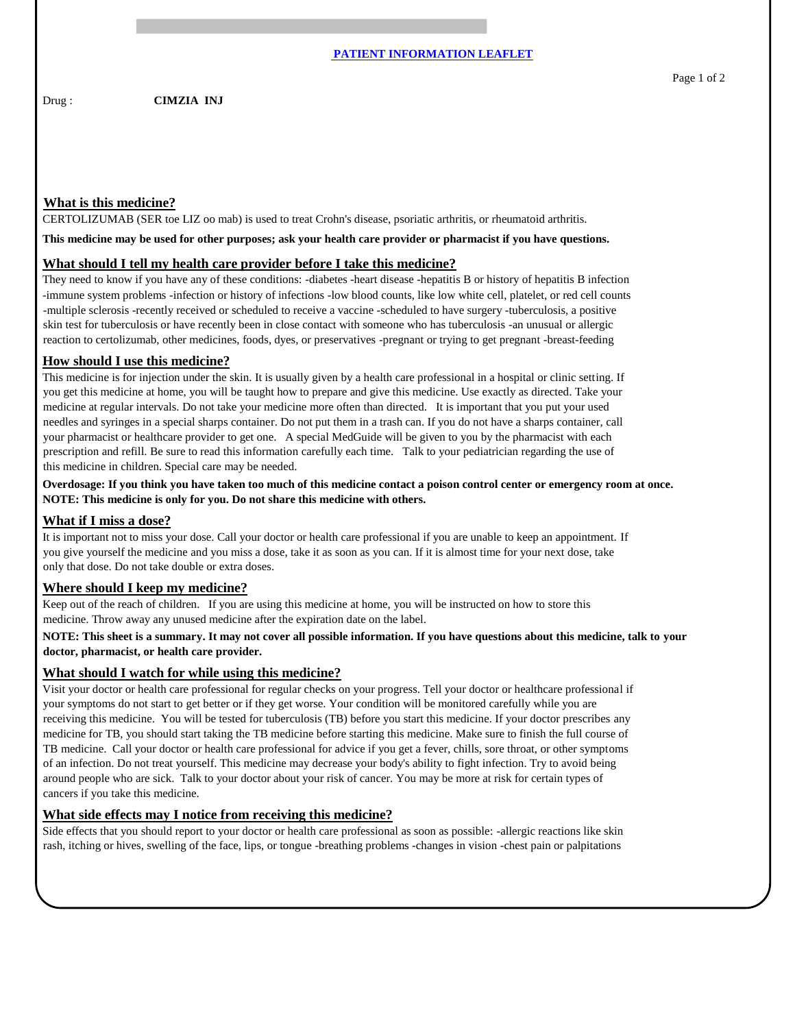Drug : **CIMZIA INJ** 

# **What is this medicine?**

CERTOLIZUMAB (SER toe LIZ oo mab) is used to treat Crohn's disease, psoriatic arthritis, or rheumatoid arthritis.

**This medicine may be used for other purposes; ask your health care provider or pharmacist if you have questions.**

## **What should I tell my health care provider before I take this medicine?**

They need to know if you have any of these conditions: -diabetes -heart disease -hepatitis B or history of hepatitis B infection -immune system problems -infection or history of infections -low blood counts, like low white cell, platelet, or red cell counts -multiple sclerosis -recently received or scheduled to receive a vaccine -scheduled to have surgery -tuberculosis, a positive skin test for tuberculosis or have recently been in close contact with someone who has tuberculosis -an unusual or allergic reaction to certolizumab, other medicines, foods, dyes, or preservatives -pregnant or trying to get pregnant -breast-feeding

## **How should I use this medicine?**

This medicine is for injection under the skin. It is usually given by a health care professional in a hospital or clinic setting. If you get this medicine at home, you will be taught how to prepare and give this medicine. Use exactly as directed. Take your medicine at regular intervals. Do not take your medicine more often than directed. It is important that you put your used needles and syringes in a special sharps container. Do not put them in a trash can. If you do not have a sharps container, call your pharmacist or healthcare provider to get one. A special MedGuide will be given to you by the pharmacist with each prescription and refill. Be sure to read this information carefully each time. Talk to your pediatrician regarding the use of this medicine in children. Special care may be needed.

**Overdosage: If you think you have taken too much of this medicine contact a poison control center or emergency room at once. NOTE: This medicine is only for you. Do not share this medicine with others.**

#### **What if I miss a dose?**

It is important not to miss your dose. Call your doctor or health care professional if you are unable to keep an appointment. If you give yourself the medicine and you miss a dose, take it as soon as you can. If it is almost time for your next dose, take only that dose. Do not take double or extra doses.

# **Where should I keep my medicine?**

Keep out of the reach of children. If you are using this medicine at home, you will be instructed on how to store this medicine. Throw away any unused medicine after the expiration date on the label.

# **NOTE: This sheet is a summary. It may not cover all possible information. If you have questions about this medicine, talk to your doctor, pharmacist, or health care provider.**

## **What should I watch for while using this medicine?**

Visit your doctor or health care professional for regular checks on your progress. Tell your doctor or healthcare professional if your symptoms do not start to get better or if they get worse. Your condition will be monitored carefully while you are receiving this medicine. You will be tested for tuberculosis (TB) before you start this medicine. If your doctor prescribes any medicine for TB, you should start taking the TB medicine before starting this medicine. Make sure to finish the full course of TB medicine. Call your doctor or health care professional for advice if you get a fever, chills, sore throat, or other symptoms of an infection. Do not treat yourself. This medicine may decrease your body's ability to fight infection. Try to avoid being around people who are sick. Talk to your doctor about your risk of cancer. You may be more at risk for certain types of cancers if you take this medicine.

### **What side effects may I notice from receiving this medicine?**

Side effects that you should report to your doctor or health care professional as soon as possible: -allergic reactions like skin rash, itching or hives, swelling of the face, lips, or tongue -breathing problems -changes in vision -chest pain or palpitations